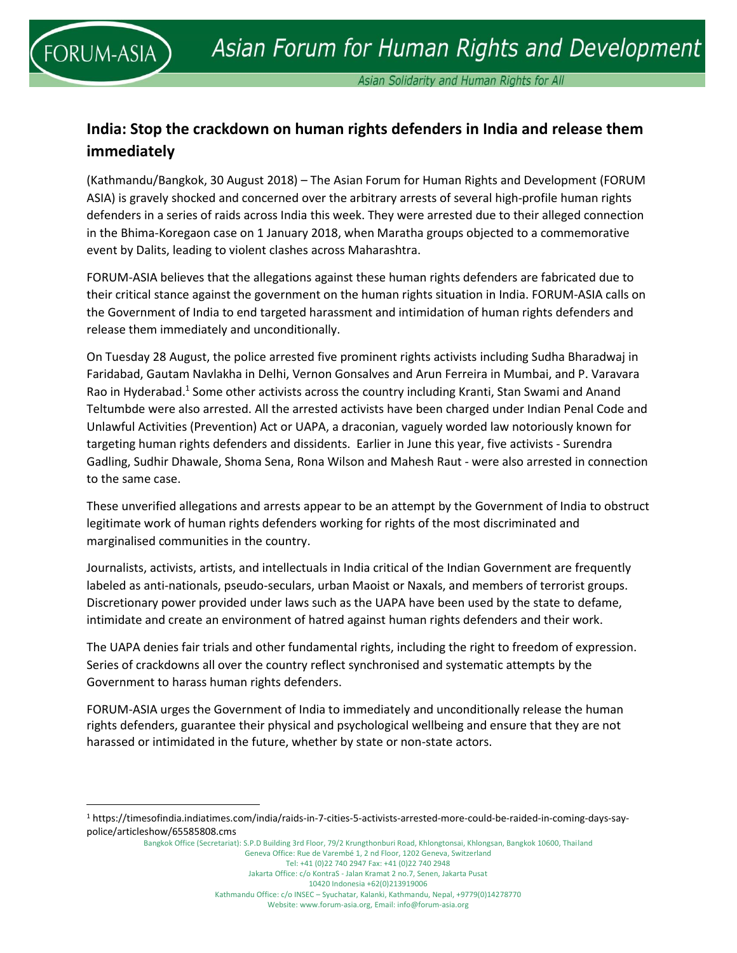l

Asian Solidarity and Human Rights for All

## **India: Stop the crackdown on human rights defenders in India and release them immediately**

(Kathmandu/Bangkok, 30 August 2018) – The Asian Forum for Human Rights and Development (FORUM ASIA) is gravely shocked and concerned over the arbitrary arrests of several high-profile human rights defenders in a series of raids across India this week. They were arrested due to their alleged connection in the Bhima-Koregaon case on 1 January 2018, when Maratha groups objected to a commemorative event by Dalits, leading to violent clashes across Maharashtra.

FORUM-ASIA believes that the allegations against these human rights defenders are fabricated due to their critical stance against the government on the human rights situation in India. FORUM-ASIA calls on the Government of India to end targeted harassment and intimidation of human rights defenders and release them immediately and unconditionally.

On Tuesday 28 August, the police arrested five prominent rights activists including Sudha Bharadwaj in Faridabad, Gautam Navlakha in Delhi, Vernon Gonsalves and Arun Ferreira in Mumbai, and P. Varavara Rao in Hyderabad.<sup>1</sup> Some other activists across the country including Kranti, Stan Swami and Anand Teltumbde were also arrested. All the arrested activists have been charged under Indian Penal Code and Unlawful Activities (Prevention) Act or UAPA, a draconian, vaguely worded law notoriously known for targeting human rights defenders and dissidents. Earlier in June this year, five activists - Surendra Gadling, Sudhir Dhawale, Shoma Sena, Rona Wilson and Mahesh Raut - were also arrested in connection to the same case.

These unverified allegations and arrests appear to be an attempt by the Government of India to obstruct legitimate work of human rights defenders working for rights of the most discriminated and marginalised communities in the country.

Journalists, activists, artists, and intellectuals in India critical of the Indian Government are frequently labeled as anti-nationals, pseudo-seculars, urban Maoist or Naxals, and members of terrorist groups. Discretionary power provided under laws such as the UAPA have been used by the state to defame, intimidate and create an environment of hatred against human rights defenders and their work.

The UAPA denies fair trials and other fundamental rights, including the right to freedom of expression. Series of crackdowns all over the country reflect synchronised and systematic attempts by the Government to harass human rights defenders.

FORUM-ASIA urges the Government of India to immediately and unconditionally release the human rights defenders, guarantee their physical and psychological wellbeing and ensure that they are not harassed or intimidated in the future, whether by state or non-state actors.

Bangkok Office (Secretariat): S.P.D Building 3rd Floor, 79/2 Krungthonburi Road, Khlongtonsai, Khlongsan, Bangkok 10600, Thailand Geneva Office: Rue de Varembé 1, 2 nd Floor, 1202 Geneva, Switzerland Tel: +41 (0)22 740 2947 Fax: +41 (0)22 740 2948 Jakarta Office: c/o KontraS - Jalan Kramat 2 no.7, Senen, Jakarta Pusat 10420 Indonesia +62(0)213919006 Kathmandu Office: c/o INSEC – Syuchatar, Kalanki, Kathmandu, Nepal, +9779(0)14278770 Website: www.forum-asia.org, Email: info@forum-asia.org

<sup>1</sup> https://timesofindia.indiatimes.com/india/raids-in-7-cities-5-activists-arrested-more-could-be-raided-in-coming-days-saypolice/articleshow/65585808.cms